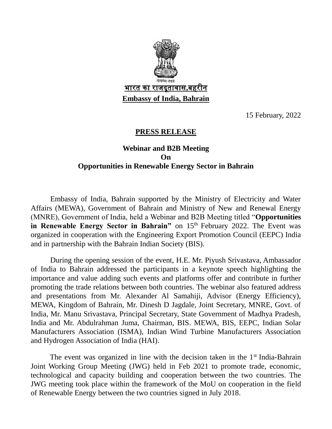

15 February, 2022

## **PRESS RELEASE**

## **Webinar and B2B Meeting On Opportunities in Renewable Energy Sector in Bahrain**

Embassy of India, Bahrain supported by the Ministry of Electricity and Water Affairs (MEWA), Government of Bahrain and Ministry of New and Renewal Energy (MNRE), Government of India, held a Webinar and B2B Meeting titled "**Opportunities in Renewable Energy Sector in Bahrain**" on 15<sup>th</sup> February 2022. The Event was organized in cooperation with the Engineering Export Promotion Council (EEPC) India and in partnership with the Bahrain Indian Society (BIS).

During the opening session of the event, H.E. Mr. Piyush Srivastava, Ambassador of India to Bahrain addressed the participants in a keynote speech highlighting the importance and value adding such events and platforms offer and contribute in further promoting the trade relations between both countries. The webinar also featured address and presentations from Mr. Alexander Al Samahiji, Advisor (Energy Efficiency), MEWA, Kingdom of Bahrain, Mr. Dinesh D Jagdale, Joint Secretary, MNRE, Govt. of India, Mr. Manu Srivastava, Principal Secretary, State Government of Madhya Pradesh, India and Mr. Abdulrahman Juma, Chairman, BIS. MEWA, BIS, EEPC, Indian Solar Manufacturers Association (ISMA), Indian Wind Turbine Manufacturers Association and Hydrogen Association of India (HAI).

The event was organized in line with the decision taken in the  $1<sup>st</sup>$  India-Bahrain Joint Working Group Meeting (JWG) held in Feb 2021 to promote trade, economic, technological and capacity building and cooperation between the two countries. The JWG meeting took place within the framework of the MoU on cooperation in the field of Renewable Energy between the two countries signed in July 2018.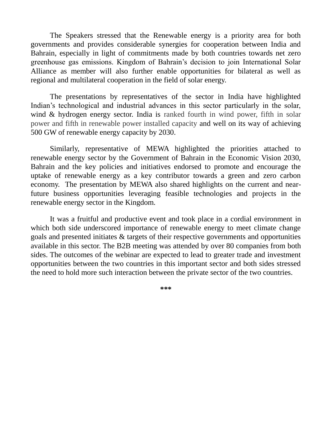The Speakers stressed that the Renewable energy is a priority area for both governments and provides considerable synergies for cooperation between India and Bahrain, especially in light of commitments made by both countries towards net zero greenhouse gas emissions. Kingdom of Bahrain's decision to join International Solar Alliance as member will also further enable opportunities for bilateral as well as regional and multilateral cooperation in the field of solar energy.

The presentations by representatives of the sector in India have highlighted Indian's technological and industrial advances in this sector particularly in the solar, wind & hydrogen energy sector. India is ranked fourth in wind power, fifth in solar power and fifth in renewable power installed capacity and well on its way of achieving 500 GW of renewable energy capacity by 2030.

Similarly, representative of MEWA highlighted the priorities attached to renewable energy sector by the Government of Bahrain in the Economic Vision 2030, Bahrain and the key policies and initiatives endorsed to promote and encourage the uptake of renewable energy as a key contributor towards a green and zero carbon economy. The presentation by MEWA also shared highlights on the current and nearfuture business opportunities leveraging feasible technologies and projects in the renewable energy sector in the Kingdom.

It was a fruitful and productive event and took place in a cordial environment in which both side underscored importance of renewable energy to meet climate change goals and presented initiates & targets of their respective governments and opportunities available in this sector. The B2B meeting was attended by over 80 companies from both sides. The outcomes of the webinar are expected to lead to greater trade and investment opportunities between the two countries in this important sector and both sides stressed the need to hold more such interaction between the private sector of the two countries.

**\*\*\***